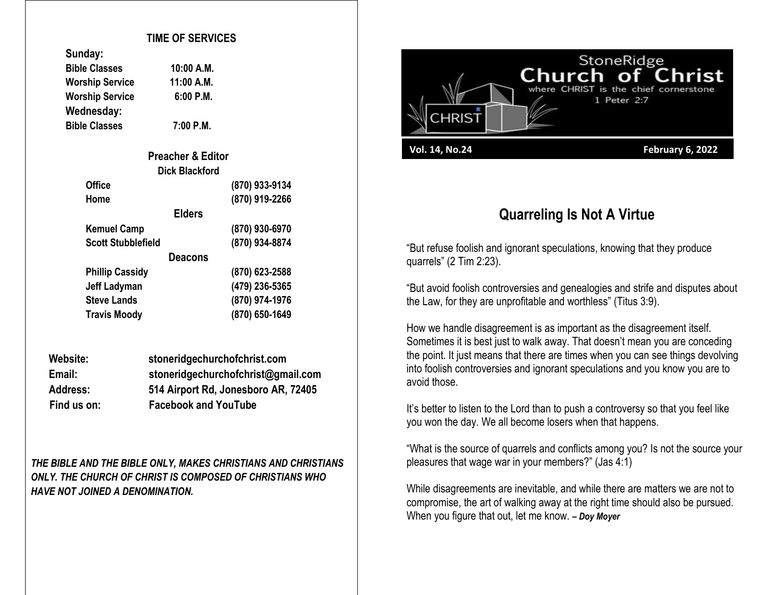#### **TIME OF SERVICES**

| Sunday:                |             |
|------------------------|-------------|
| <b>Bible Classes</b>   | 10:00 A.M.  |
| <b>Worship Service</b> | 11:00 A.M.  |
| <b>Worship Service</b> | $6:00$ P.M. |
| Wednesday:             |             |
| <b>Bible Classes</b>   | 7:00 P.M.   |

**Sunday:**

**Bible Classes 7:00 P.M.**

| <b>Preacher &amp; Editor</b> |                |
|------------------------------|----------------|
| <b>Dick Blackford</b>        |                |
| Office                       | (870) 933-9134 |
| Home                         | (870) 919-2266 |
| <b>Elders</b>                |                |
| <b>Kemuel Camp</b>           | (870) 930-6970 |
| <b>Scott Stubblefield</b>    | (870) 934-8874 |
| <b>Deacons</b>               |                |
| <b>Phillip Cassidy</b>       | (870) 623-2588 |
| <b>Jeff Ladyman</b>          | (479) 236-5365 |
| <b>Steve Lands</b>           | (870) 974-1976 |
| <b>Travis Moody</b>          | (870) 650-1649 |

| Website:        | stoneridgechurchofchrist.com        |
|-----------------|-------------------------------------|
| Email:          | stoneridgechurchofchrist@gmail.com  |
| <b>Address:</b> | 514 Airport Rd, Jonesboro AR, 72405 |
| Find us on:     | <b>Facebook and YouTube</b>         |

*THE BIBLE AND THE BIBLE ONLY, MAKES CHRISTIANS AND CHRISTIANS ONLY. THE CHURCH OF CHRIST IS COMPOSED OF CHRISTIANS WHO HAVE NOT JOINED A DENOMINATION.*



# **Quarreling Is Not A Virtue**

"But refuse foolish and ignorant speculations, knowing that they produce quarrels" (2 Tim 2:23).

"But avoid foolish controversies and genealogies and strife and disputes about the Law, for they are unprofitable and worthless" (Titus 3:9).

How we handle disagreement is as important as the disagreement itself. Sometimes it is best just to walk away. That doesn't mean you are conceding the point. It just means that there are times when you can see things devolving into foolish controversies and ignorant speculations and you know you are to avoid those.

It's better to listen to the Lord than to push a controversy so that you feel like you won the day. We all become losers when that happens.

"What is the source of quarrels and conflicts among you? Is not the source your pleasures that wage war in your members?" (Jas 4:1)

While disagreements are inevitable, and while there are matters we are not to compromise, the art of walking away at the right time should also be pursued. When you figure that out, let me know. *– Doy Moyer*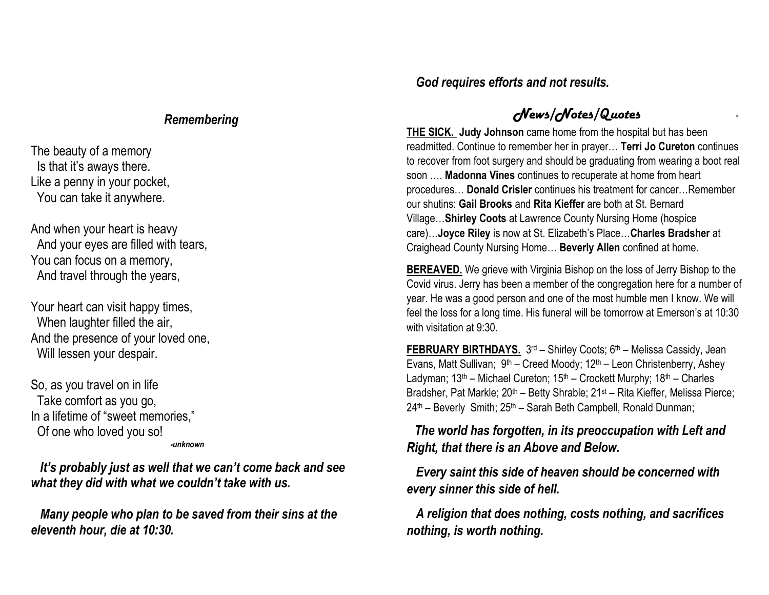#### *Remembering*

The beauty of a memory Is that it's aways there. Like a penny in your pocket, You can take it anywhere.

And when your heart is heavy And your eyes are filled with tears, You can focus on a memory, And travel through the years,

Your heart can visit happy times, When laughter filled the air, And the presence of your loved one, Will lessen your despair.

So, as you travel on in life Take comfort as you go, In a lifetime of "sweet memories," Of one who loved you so! *-unknown*

 *It's probably just as well that we can't come back and see what they did with what we couldn't take with us.*

 *Many people who plan to be saved from their sins at the eleventh hour, die at 10:30.*

### *God requires efforts and not results.*

## *News/Notes/Quotes*

**THE SICK. Judy Johnson** came home from the hospital but has been readmitted. Continue to remember her in prayer… **Terri Jo Cureton** continues to recover from foot surgery and should be graduating from wearing a boot real soon …. **Madonna Vines** continues to recuperate at home from heart procedures… **Donald Crisler** continues his treatment for cancer…Remember our shutins: **Gail Brooks** and **Rita Kieffer** are both at St. Bernard Village…**Shirley Coots** at Lawrence County Nursing Home (hospice care)…**Joyce Riley** is now at St. Elizabeth's Place…**Charles Bradsher** at Craighead County Nursing Home… **Beverly Allen** confined at home.

**BEREAVED.** We grieve with Virginia Bishop on the loss of Jerry Bishop to the Covid virus. Jerry has been a member of the congregation here for a number of year. He was a good person and one of the most humble men I know. We will feel the loss for a long time. His funeral will be tomorrow at Emerson's at 10:30 with visitation at 9:30.

FEBRUARY BIRTHDAYS. 3<sup>rd</sup> – Shirley Coots; 6<sup>th</sup> – Melissa Cassidy, Jean Evans, Matt Sullivan; 9<sup>th</sup> – Creed Moody; 12<sup>th</sup> – Leon Christenberry, Ashey Ladyman;  $13<sup>th</sup>$  – Michael Cureton;  $15<sup>th</sup>$  – Crockett Murphy;  $18<sup>th</sup>$  – Charles Bradsher, Pat Markle; 20<sup>th</sup> – Betty Shrable; 21<sup>st</sup> – Rita Kieffer, Melissa Pierce;  $24<sup>th</sup>$  – Beverly Smith;  $25<sup>th</sup>$  – Sarah Beth Campbell, Ronald Dunman;

 *The world has forgotten, in its preoccupation with Left and Right, that there is an Above and Below.*

 *Every saint this side of heaven should be concerned with every sinner this side of hell.*

 *A religion that does nothing, costs nothing, and sacrifices nothing, is worth nothing.*